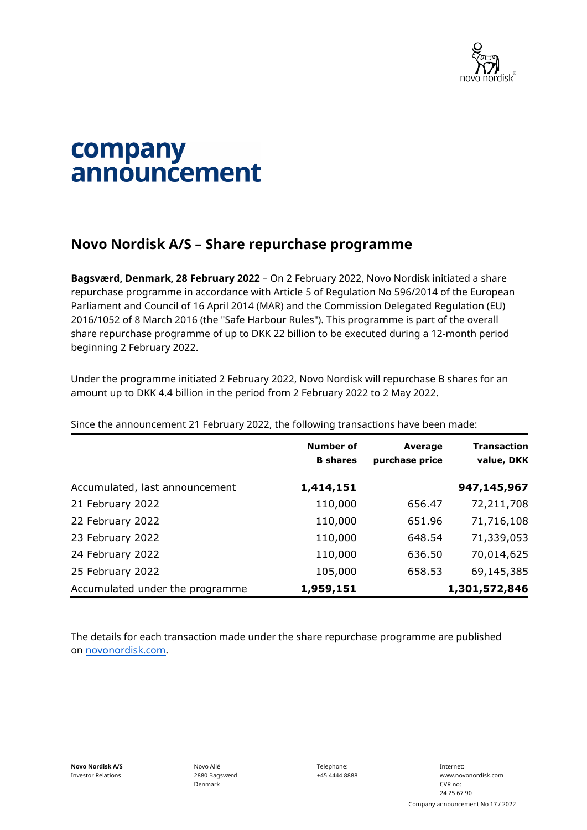

## company announcement

## **Novo Nordisk A/S – Share repurchase programme**

**Bagsværd, Denmark, 28 February 2022** – On 2 February 2022, Novo Nordisk initiated a share repurchase programme in accordance with Article 5 of Regulation No 596/2014 of the European Parliament and Council of 16 April 2014 (MAR) and the Commission Delegated Regulation (EU) 2016/1052 of 8 March 2016 (the "Safe Harbour Rules"). This programme is part of the overall share repurchase programme of up to DKK 22 billion to be executed during a 12-month period beginning 2 February 2022.

Under the programme initiated 2 February 2022, Novo Nordisk will repurchase B shares for an amount up to DKK 4.4 billion in the period from 2 February 2022 to 2 May 2022.

|                                 | <b>Number of</b><br><b>B</b> shares | Average<br>purchase price | <b>Transaction</b><br>value, DKK |
|---------------------------------|-------------------------------------|---------------------------|----------------------------------|
| Accumulated, last announcement  | 1,414,151                           |                           | 947,145,967                      |
| 21 February 2022                | 110,000                             | 656.47                    | 72,211,708                       |
| 22 February 2022                | 110,000                             | 651.96                    | 71,716,108                       |
| 23 February 2022                | 110,000                             | 648.54                    | 71,339,053                       |
| 24 February 2022                | 110,000                             | 636.50                    | 70,014,625                       |
| 25 February 2022                | 105,000                             | 658.53                    | 69,145,385                       |
| Accumulated under the programme | 1,959,151                           |                           | 1,301,572,846                    |

Since the announcement 21 February 2022, the following transactions have been made:

The details for each transaction made under the share repurchase programme are published on [novonordisk.com.](https://www.novonordisk.com/news-and-media/news-and-ir-materials.html)